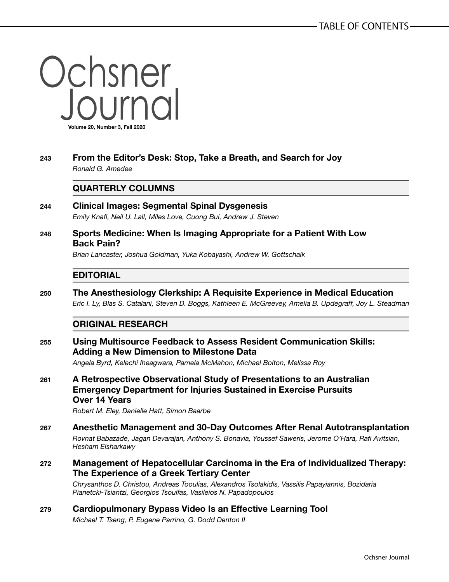Ochsner<br>Journal **Volume 20, Number 3, Fall 2020**

**243 From the Editor's Desk: Stop, Take a Breath, and Search for Joy** *Ronald G. Amedee*

## **QUARTERLY COLUMNS**

- **244 Clinical Images: Segmental Spinal Dysgenesis** *Emily Knafl, Neil U. Lall, Miles Love, Cuong Bui, Andrew J. Steven*
- **248 Sports Medicine: When Is Imaging Appropriate for a Patient With Low Back Pain?**

*Brian Lancaster, Joshua Goldman, Yuka Kobayashi, Andrew W. Gottschalk*

## **EDITORIAL**

**250 The Anesthesiology Clerkship: A Requisite Experience in Medical Education** *Eric I. Ly, Blas S. Catalani, Steven D. Boggs, Kathleen E. McGreevey, Amelia B. Updegraff, Joy L. Steadman*

## **ORIGINAL RESEARCH**

**255 Using Multisource Feedback to Assess Resident Communication Skills: Adding a New Dimension to Milestone Data**

*Angela Byrd, Kelechi Iheagwara, Pamela McMahon, Michael Bolton, Melissa Roy*

**261 A Retrospective Observational Study of Presentations to an Australian Emergency Department for Injuries Sustained in Exercise Pursuits Over 14 Years**

*Robert M. Eley, Danielle Hatt, Simon Baarbe*

- **267 Anesthetic Management and 30-Day Outcomes After Renal Autotransplantation** *Rovnat Babazade, Jagan Devarajan, Anthony S. Bonavia, Youssef Saweris, Jerome O'Hara, Rafi Avitsian, Hesham Elsharkawy*
- **272 Management of Hepatocellular Carcinoma in the Era of Individualized Therapy: The Experience of a Greek Tertiary Center**

*Chrysanthos D. Christou, Andreas Tooulias, Alexandros Tsolakidis, Vassilis Papayiannis, Bozidaria Pianetcki-Tsiantzi, Georgios Tsoulfas, Vasileios N. Papadopoulos*

**279 Cardiopulmonary Bypass Video Is an Effective Learning Tool** *Michael T. Tseng, P. Eugene Parrino, G. Dodd Denton II*